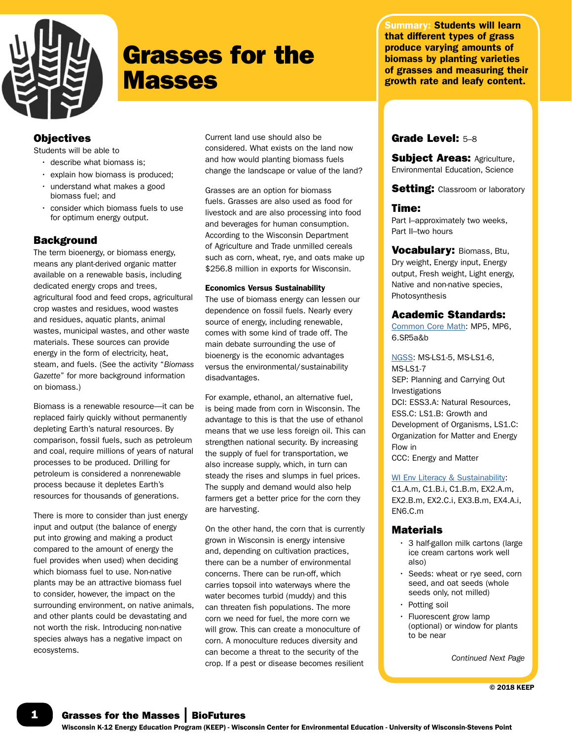

# Grasses for the **Masses**

Summary: Students will learn that different types of grass produce varying amounts of biomass by planting varieties of grasses and measuring their growth rate and leafy content.

# **Objectives**

Students will be able to

- describe what biomass is;
- explain how biomass is produced;
- understand what makes a good biomass fuel; and
- consider which biomass fuels to use for optimum energy output.

# **Background**

The term bioenergy, or biomass energy, means any plant-derived organic matter available on a renewable basis, including dedicated energy crops and trees, agricultural food and feed crops, agricultural crop wastes and residues, wood wastes and residues, aquatic plants, animal wastes, municipal wastes, and other waste materials. These sources can provide energy in the form of electricity, heat, steam, and fuels. (See the activity "*Biomass Gazette*" for more background information on biomass.)

Biomass is a renewable resource—it can be replaced fairly quickly without permanently depleting Earth's natural resources. By comparison, fossil fuels, such as petroleum and coal, require millions of years of natural processes to be produced. Drilling for petroleum is considered a nonrenewable process because it depletes Earth's resources for thousands of generations.

There is more to consider than just energy input and output (the balance of energy put into growing and making a product compared to the amount of energy the fuel provides when used) when deciding which biomass fuel to use. Non-native plants may be an attractive biomass fuel to consider, however, the impact on the surrounding environment, on native animals, and other plants could be devastating and not worth the risk. Introducing non-native species always has a negative impact on ecosystems.

Current land use should also be considered. What exists on the land now and how would planting biomass fuels change the landscape or value of the land?

Grasses are an option for biomass fuels. Grasses are also used as food for livestock and are also processing into food and beverages for human consumption. According to the Wisconsin Department of Agriculture and Trade unmilled cereals such as corn, wheat, rye, and oats make up \$256.8 million in exports for Wisconsin.

#### Economics Versus Sustainability

The use of biomass energy can lessen our dependence on fossil fuels. Nearly every source of energy, including renewable, comes with some kind of trade off. The main debate surrounding the use of bioenergy is the economic advantages versus the environmental/sustainability disadvantages.

For example, ethanol, an alternative fuel, is being made from corn in Wisconsin. The advantage to this is that the use of ethanol means that we use less foreign oil. This can strengthen national security. By increasing the supply of fuel for transportation, we also increase supply, which, in turn can steady the rises and slumps in fuel prices. The supply and demand would also help farmers get a better price for the corn they are harvesting.

On the other hand, the corn that is currently grown in Wisconsin is energy intensive and, depending on cultivation practices, there can be a number of environmental concerns. There can be run-off, which carries topsoil into waterways where the water becomes turbid (muddy) and this can threaten fish populations. The more corn we need for fuel, the more corn we will grow. This can create a monoculture of corn. A monoculture reduces diversity and can become a threat to the security of the crop. If a pest or disease becomes resilient

# Grade Level: 5–8

**Subject Areas: Agriculture,** Environmental Education, Science

**Setting:** Classroom or laboratory

# Time:

Part I–approximately two weeks, Part II–two hours

Vocabulary: Biomass, Btu, Dry weight, Energy input, Energy output, Fresh weight, Light energy, Native and non-native species, Photosynthesis

# Academic Standards:

[Common Core Math](http://www.uwsp.edu/cnr-ap/KEEP/Documents/Activities/Standards/CommonCoreMath_Standards.pdf): MP5, MP6, 6.SP.5a&b

[NGSS](http://www.uwsp.edu/cnr-ap/KEEP/Documents/Activities/Standards/NGSS.pdf): MS-LS1-5, MS-LS1-6, MS-LS1-7 SEP: Planning and Carrying Out Investigations DCI: ESS3.A: Natural Resources, ESS.C: LS1.B: Growth and Development of Organisms, LS1.C: Organization for Matter and Energy Flow in CCC: Energy and Matter

[WI Env Literacy & Sustainability:](https://dpi.wi.gov/environmental-ed/standards)

C1.A.m, C1.B.i, C1.B.m, EX2.A.m, EX2.B.m, EX2.C.i, EX3.B.m, EX4.A.i, EN6.C.m

# Materials

- 3 half-gallon milk cartons (large ice cream cartons work well also)
- Seeds: wheat or rye seed, corn seed, and oat seeds (whole seeds only, not milled)
- Potting soil
- Fluorescent grow lamp (optional) or window for plants to be near

*Continued Next Page*

© 2018 KEEP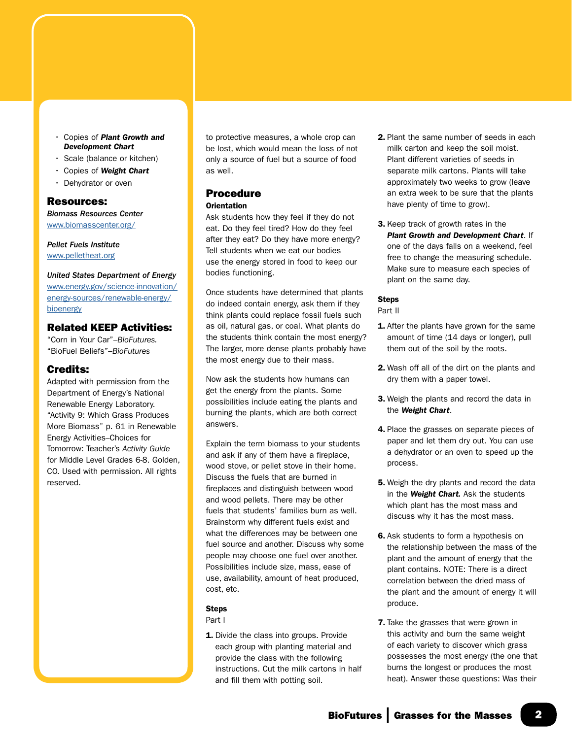- Copies of *Plant Growth and Development Chart*
- Scale (balance or kitchen)
- Copies of *Weight Chart*
- Dehydrator or oven

#### Resources:

*Biomass Resources Center* [www.biomasscenter.org/](http://www.biomasscenter.org/)

*Pellet Fuels Institute* [www.pelletheat.org](http://www.pelletheat.org)

# *United States Department of Energy* [www.energy.gov/science-innovation/](http://www.energy.gov/science-innovation/energy-sources/renewable-energy/bioenergy) [energy-sources/renewable-energy/](http://www.energy.gov/science-innovation/energy-sources/renewable-energy/bioenergy)

# [bioenergy](http://www.energy.gov/science-innovation/energy-sources/renewable-energy/bioenergy)

# Related KEEP Activities:

"Corn in Your Car"–*BioFutures.*  "BioFuel Beliefs"–*BioFutures*

# Credits:

Adapted with permission from the Department of Energy's National Renewable Energy Laboratory. "Activity 9: Which Grass Produces More Biomass" p. 61 in Renewable Energy Activities–Choices for Tomorrow: Teacher's *Activity Guide* for Middle Level Grades 6-8. Golden, CO. Used with permission. All rights reserved.

to protective measures, a whole crop can be lost, which would mean the loss of not only a source of fuel but a source of food as well.

#### Procedure **Orientation**

Ask students how they feel if they do not eat. Do they feel tired? How do they feel after they eat? Do they have more energy? Tell students when we eat our bodies use the energy stored in food to keep our bodies functioning.

Once students have determined that plants do indeed contain energy, ask them if they think plants could replace fossil fuels such as oil, natural gas, or coal. What plants do the students think contain the most energy? The larger, more dense plants probably have the most energy due to their mass.

Now ask the students how humans can get the energy from the plants. Some possibilities include eating the plants and burning the plants, which are both correct answers.

Explain the term biomass to your students and ask if any of them have a fireplace, wood stove, or pellet stove in their home. Discuss the fuels that are burned in fireplaces and distinguish between wood and wood pellets. There may be other fuels that students' families burn as well. Brainstorm why different fuels exist and what the differences may be between one fuel source and another. Discuss why some people may choose one fuel over another. Possibilities include size, mass, ease of use, availability, amount of heat produced, cost, etc.

#### **Steps**

Part I

1. Divide the class into groups. Provide each group with planting material and provide the class with the following instructions. Cut the milk cartons in half and fill them with potting soil.

- 2. Plant the same number of seeds in each milk carton and keep the soil moist. Plant different varieties of seeds in separate milk cartons. Plants will take approximately two weeks to grow (leave an extra week to be sure that the plants have plenty of time to grow).
- 3. Keep track of growth rates in the *Plant Growth and Development Chart*. If one of the days falls on a weekend, feel free to change the measuring schedule. Make sure to measure each species of plant on the same day.

#### **Steps**

Part II

- 1. After the plants have grown for the same amount of time (14 days or longer), pull them out of the soil by the roots.
- 2. Wash off all of the dirt on the plants and dry them with a paper towel.
- 3. Weigh the plants and record the data in the *Weight Chart*.
- 4. Place the grasses on separate pieces of paper and let them dry out. You can use a dehydrator or an oven to speed up the process.
- **5.** Weigh the dry plants and record the data in the *Weight Chart.* Ask the students which plant has the most mass and discuss why it has the most mass.
- 6. Ask students to form a hypothesis on the relationship between the mass of the plant and the amount of energy that the plant contains. NOTE: There is a direct correlation between the dried mass of the plant and the amount of energy it will produce.
- **7.** Take the grasses that were grown in this activity and burn the same weight of each variety to discover which grass possesses the most energy (the one that burns the longest or produces the most heat). Answer these questions: Was their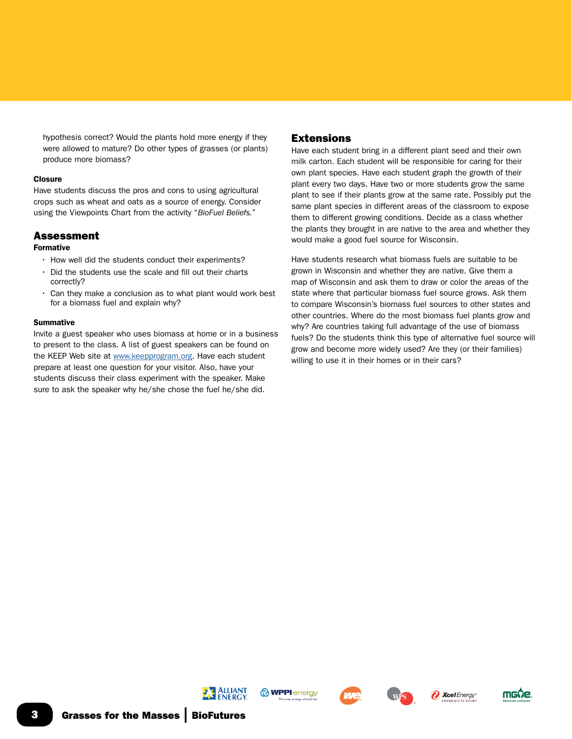$\overline{\textbf{G}}$  Grasses for the Masses | BioFutures















hypothesis correct? Would the plants hold more energy if they

were allowed to mature? Do other types of grasses (or plants) produce more biomass?

### **Closure**

Have students discuss the pros and cons to using agricultural crops such as wheat and oats as a source of energy. Consider using the Viewpoints Chart from the activity "*BioFuel Beliefs.*"

# Assessment

# Formative

- How well did the students conduct their experiments?
- Did the students use the scale and fill out their charts correctly?
- Can they make a conclusion as to what plant would work best for a biomass fuel and explain why?

# **Summative**

Invite a guest speaker who uses biomass at home or in a business to present to the class. A list of guest speakers can be found on the KEEP Web site at [www.keepprogram.org.](http://www.keepprogram.org) Have each student prepare at least one question for your visitor. Also, have your students discuss their class experiment with the speaker. Make sure to ask the speaker why he/she chose the fuel he/she did.

# Extensions

Have each student bring in a different plant seed and their own milk carton. Each student will be responsible for caring for their own plant species. Have each student graph the growth of their plant every two days. Have two or more students grow the same plant to see if their plants grow at the same rate. Possibly put the same plant species in different areas of the classroom to expose them to different growing conditions. Decide as a class whether the plants they brought in are native to the area and whether they would make a good fuel source for Wisconsin.

Have students research what biomass fuels are suitable to be grown in Wisconsin and whether they are native. Give them a map of Wisconsin and ask them to draw or color the areas of the state where that particular biomass fuel source grows. Ask them to compare Wisconsin's biomass fuel sources to other states and other countries. Where do the most biomass fuel plants grow and why? Are countries taking full advantage of the use of biomass fuels? Do the students think this type of alternative fuel source will grow and become more widely used? Are they (or their families) willing to use it in their homes or in their cars?